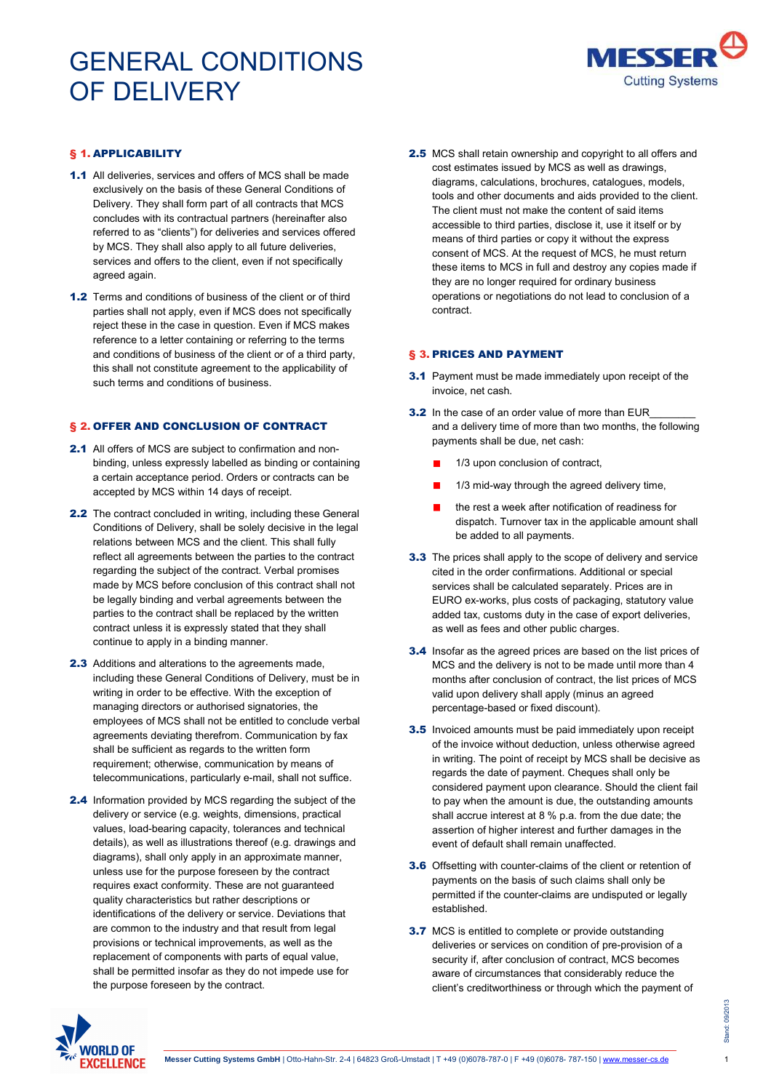

## § 1. APPLICABILITY

- 1.1 All deliveries, services and offers of MCS shall be made exclusively on the basis of these General Conditions of Delivery. They shall form part of all contracts that MCS concludes with its contractual partners (hereinafter also referred to as "clients") for deliveries and services offered by MCS. They shall also apply to all future deliveries, services and offers to the client, even if not specifically agreed again.
- 1.2 Terms and conditions of business of the client or of third parties shall not apply, even if MCS does not specifically reject these in the case in question. Even if MCS makes reference to a letter containing or referring to the terms and conditions of business of the client or of a third party, this shall not constitute agreement to the applicability of such terms and conditions of business.

## § 2. OFFER AND CONCLUSION OF CONTRACT

- 2.1 All offers of MCS are subject to confirmation and nonbinding, unless expressly labelled as binding or containing a certain acceptance period. Orders or contracts can be accepted by MCS within 14 days of receipt.
- 2.2 The contract concluded in writing, including these General Conditions of Delivery, shall be solely decisive in the legal relations between MCS and the client. This shall fully reflect all agreements between the parties to the contract regarding the subject of the contract. Verbal promises made by MCS before conclusion of this contract shall not be legally binding and verbal agreements between the parties to the contract shall be replaced by the written contract unless it is expressly stated that they shall continue to apply in a binding manner.
- 2.3 Additions and alterations to the agreements made, including these General Conditions of Delivery, must be in writing in order to be effective. With the exception of managing directors or authorised signatories, the employees of MCS shall not be entitled to conclude verbal agreements deviating therefrom. Communication by fax shall be sufficient as regards to the written form requirement; otherwise, communication by means of telecommunications, particularly e-mail, shall not suffice.
- 2.4 Information provided by MCS regarding the subject of the delivery or service (e.g. weights, dimensions, practical values, load-bearing capacity, tolerances and technical details), as well as illustrations thereof (e.g. drawings and diagrams), shall only apply in an approximate manner, unless use for the purpose foreseen by the contract requires exact conformity. These are not guaranteed quality characteristics but rather descriptions or identifications of the delivery or service. Deviations that are common to the industry and that result from legal provisions or technical improvements, as well as the replacement of components with parts of equal value, shall be permitted insofar as they do not impede use for the purpose foreseen by the contract.

2.5 MCS shall retain ownership and copyright to all offers and cost estimates issued by MCS as well as drawings, diagrams, calculations, brochures, catalogues, models, tools and other documents and aids provided to the client. The client must not make the content of said items accessible to third parties, disclose it, use it itself or by means of third parties or copy it without the express consent of MCS. At the request of MCS, he must return these items to MCS in full and destroy any copies made if they are no longer required for ordinary business operations or negotiations do not lead to conclusion of a contract.

#### § 3. PRICES AND PAYMENT

- **3.1** Payment must be made immediately upon receipt of the invoice, net cash.
- 3.2 In the case of an order value of more than EUR and a delivery time of more than two months, the following payments shall be due, net cash:
	- 1/3 upon conclusion of contract,
	- 1/3 mid-way through the agreed delivery time,
	- the rest a week after notification of readiness for dispatch. Turnover tax in the applicable amount shall be added to all payments.
- **3.3** The prices shall apply to the scope of delivery and service cited in the order confirmations. Additional or special services shall be calculated separately. Prices are in EURO ex-works, plus costs of packaging, statutory value added tax, customs duty in the case of export deliveries, as well as fees and other public charges.
- 3.4 Insofar as the agreed prices are based on the list prices of MCS and the delivery is not to be made until more than 4 months after conclusion of contract, the list prices of MCS valid upon delivery shall apply (minus an agreed percentage-based or fixed discount).
- **3.5** Invoiced amounts must be paid immediately upon receipt of the invoice without deduction, unless otherwise agreed in writing. The point of receipt by MCS shall be decisive as regards the date of payment. Cheques shall only be considered payment upon clearance. Should the client fail to pay when the amount is due, the outstanding amounts shall accrue interest at 8 % p.a. from the due date; the assertion of higher interest and further damages in the event of default shall remain unaffected.
- 3.6 Offsetting with counter-claims of the client or retention of payments on the basis of such claims shall only be permitted if the counter-claims are undisputed or legally established.
- **3.7** MCS is entitled to complete or provide outstanding deliveries or services on condition of pre-provision of a security if, after conclusion of contract. MCS becomes aware of circumstances that considerably reduce the client's creditworthiness or through which the payment of

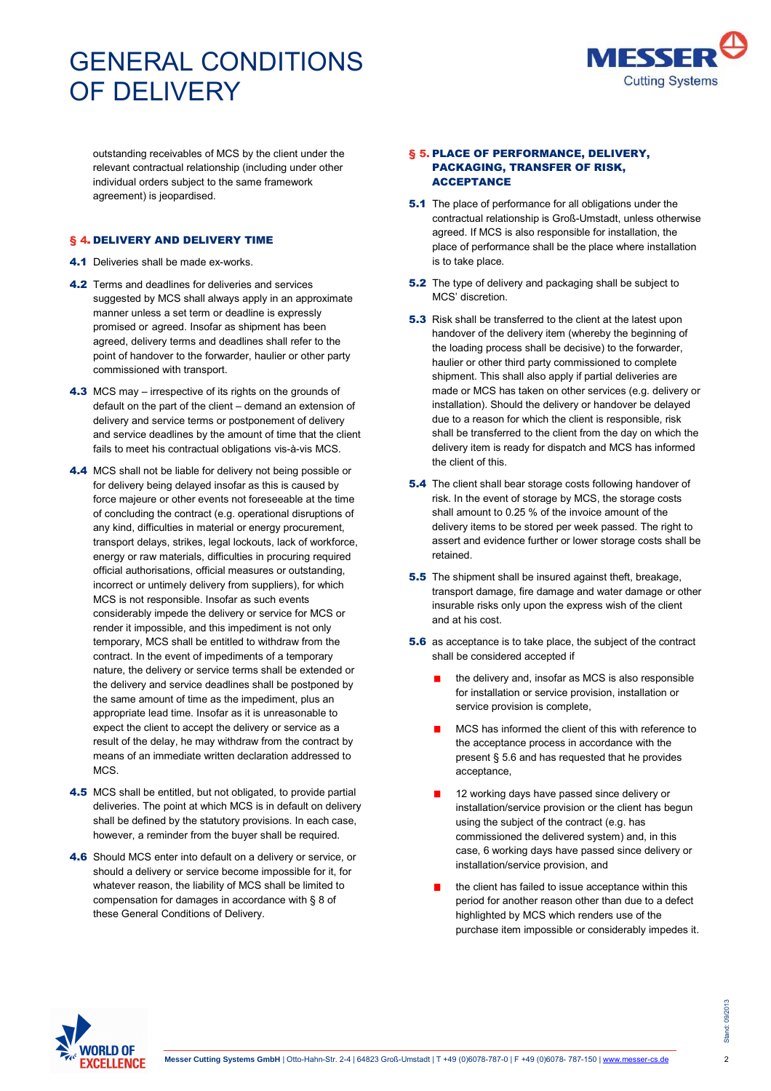

outstanding receivables of MCS by the client under the relevant contractual relationship (including under other individual orders subject to the same framework agreement) is jeopardised.

### § 4. DELIVERY AND DELIVERY TIME

- 4.1 Deliveries shall be made ex-works.
- **4.2** Terms and deadlines for deliveries and services suggested by MCS shall always apply in an approximate manner unless a set term or deadline is expressly promised or agreed. Insofar as shipment has been agreed, delivery terms and deadlines shall refer to the point of handover to the forwarder, haulier or other party commissioned with transport.
- 4.3 MCS may irrespective of its rights on the grounds of default on the part of the client – demand an extension of delivery and service terms or postponement of delivery and service deadlines by the amount of time that the client fails to meet his contractual obligations vis-à-vis MCS.
- 4.4 MCS shall not be liable for delivery not being possible or for delivery being delayed insofar as this is caused by force majeure or other events not foreseeable at the time of concluding the contract (e.g. operational disruptions of any kind, difficulties in material or energy procurement, transport delays, strikes, legal lockouts, lack of workforce, energy or raw materials, difficulties in procuring required official authorisations, official measures or outstanding, incorrect or untimely delivery from suppliers), for which MCS is not responsible. Insofar as such events considerably impede the delivery or service for MCS or render it impossible, and this impediment is not only temporary, MCS shall be entitled to withdraw from the contract. In the event of impediments of a temporary nature, the delivery or service terms shall be extended or the delivery and service deadlines shall be postponed by the same amount of time as the impediment, plus an appropriate lead time. Insofar as it is unreasonable to expect the client to accept the delivery or service as a result of the delay, he may withdraw from the contract by means of an immediate written declaration addressed to **MCS**
- 4.5 MCS shall be entitled, but not obligated, to provide partial deliveries. The point at which MCS is in default on delivery shall be defined by the statutory provisions. In each case, however, a reminder from the buyer shall be required.
- 4.6 Should MCS enter into default on a delivery or service, or should a delivery or service become impossible for it, for whatever reason, the liability of MCS shall be limited to compensation for damages in accordance with § 8 of these General Conditions of Delivery.

### § 5. PLACE OF PERFORMANCE, DELIVERY, PACKAGING, TRANSFER OF RISK, ACCEPTANCE

- **5.1** The place of performance for all obligations under the contractual relationship is Groß-Umstadt, unless otherwise agreed. If MCS is also responsible for installation, the place of performance shall be the place where installation is to take place.
- **5.2** The type of delivery and packaging shall be subject to MCS' discretion.
- **5.3** Risk shall be transferred to the client at the latest upon handover of the delivery item (whereby the beginning of the loading process shall be decisive) to the forwarder, haulier or other third party commissioned to complete shipment. This shall also apply if partial deliveries are made or MCS has taken on other services (e.g. delivery or installation). Should the delivery or handover be delayed due to a reason for which the client is responsible, risk shall be transferred to the client from the day on which the delivery item is ready for dispatch and MCS has informed the client of this.
- **5.4** The client shall bear storage costs following handover of risk. In the event of storage by MCS, the storage costs shall amount to 0.25 % of the invoice amount of the delivery items to be stored per week passed. The right to assert and evidence further or lower storage costs shall be retained.
- **5.5** The shipment shall be insured against theft, breakage, transport damage, fire damage and water damage or other insurable risks only upon the express wish of the client and at his cost.
- **5.6** as acceptance is to take place, the subject of the contract shall be considered accepted if
	- the delivery and, insofar as MCS is also responsible for installation or service provision, installation or service provision is complete,
	- MCS has informed the client of this with reference to the acceptance process in accordance with the present § 5.6 and has requested that he provides acceptance,
	- 12 working days have passed since delivery or installation/service provision or the client has begun using the subject of the contract (e.g. has commissioned the delivered system) and, in this case, 6 working days have passed since delivery or installation/service provision, and
	- the client has failed to issue acceptance within this period for another reason other than due to a defect highlighted by MCS which renders use of the purchase item impossible or considerably impedes it.

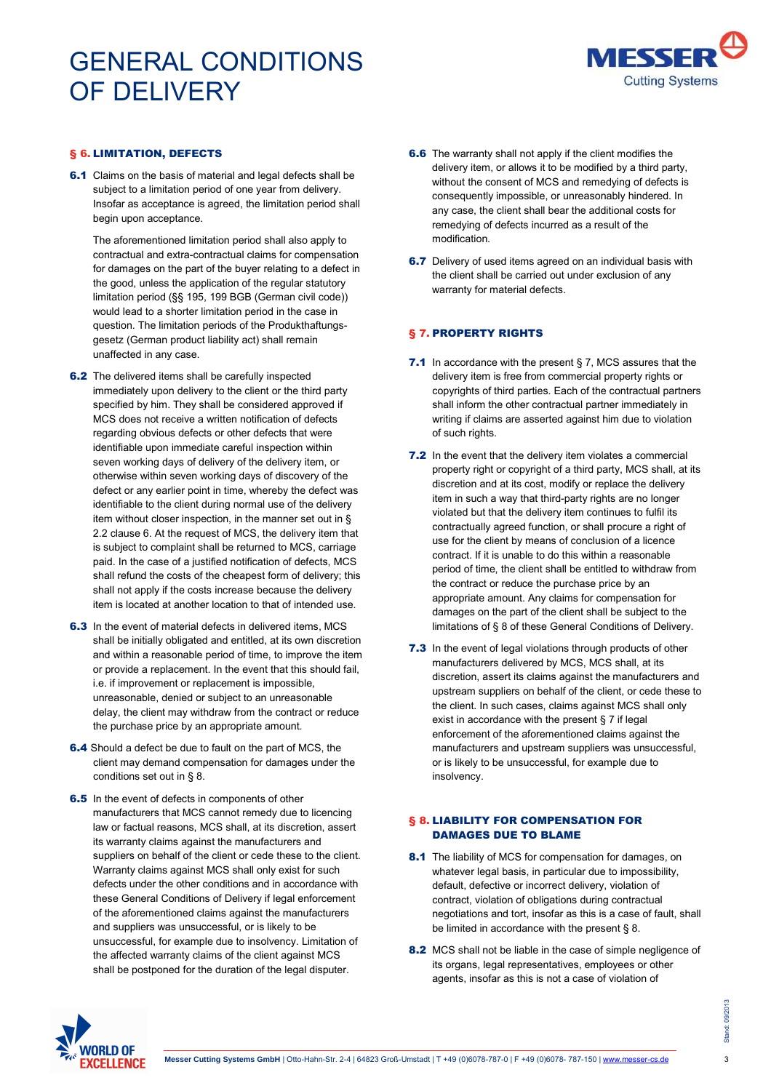

### § 6. LIMITATION, DEFECTS

**6.1** Claims on the basis of material and legal defects shall be subject to a limitation period of one year from delivery. Insofar as acceptance is agreed, the limitation period shall begin upon acceptance.

The aforementioned limitation period shall also apply to contractual and extra-contractual claims for compensation for damages on the part of the buyer relating to a defect in the good, unless the application of the regular statutory limitation period (§§ 195, 199 BGB (German civil code)) would lead to a shorter limitation period in the case in question. The limitation periods of the Produkthaftungsgesetz (German product liability act) shall remain unaffected in any case.

- 6.2 The delivered items shall be carefully inspected immediately upon delivery to the client or the third party specified by him. They shall be considered approved if MCS does not receive a written notification of defects regarding obvious defects or other defects that were identifiable upon immediate careful inspection within seven working days of delivery of the delivery item, or otherwise within seven working days of discovery of the defect or any earlier point in time, whereby the defect was identifiable to the client during normal use of the delivery item without closer inspection, in the manner set out in § 2.2 clause 6. At the request of MCS, the delivery item that is subject to complaint shall be returned to MCS, carriage paid. In the case of a justified notification of defects, MCS shall refund the costs of the cheapest form of delivery; this shall not apply if the costs increase because the delivery item is located at another location to that of intended use.
- 6.3 In the event of material defects in delivered items, MCS shall be initially obligated and entitled, at its own discretion and within a reasonable period of time, to improve the item or provide a replacement. In the event that this should fail, i.e. if improvement or replacement is impossible, unreasonable, denied or subject to an unreasonable delay, the client may withdraw from the contract or reduce the purchase price by an appropriate amount.
- 6.4 Should a defect be due to fault on the part of MCS, the client may demand compensation for damages under the conditions set out in § 8.
- **6.5** In the event of defects in components of other manufacturers that MCS cannot remedy due to licencing law or factual reasons, MCS shall, at its discretion, assert its warranty claims against the manufacturers and suppliers on behalf of the client or cede these to the client. Warranty claims against MCS shall only exist for such defects under the other conditions and in accordance with these General Conditions of Delivery if legal enforcement of the aforementioned claims against the manufacturers and suppliers was unsuccessful, or is likely to be unsuccessful, for example due to insolvency. Limitation of the affected warranty claims of the client against MCS shall be postponed for the duration of the legal disputer.
- **6.6** The warranty shall not apply if the client modifies the delivery item, or allows it to be modified by a third party, without the consent of MCS and remedying of defects is consequently impossible, or unreasonably hindered. In any case, the client shall bear the additional costs for remedying of defects incurred as a result of the modification.
- **6.7** Delivery of used items agreed on an individual basis with the client shall be carried out under exclusion of any warranty for material defects.

#### § 7. PROPERTY RIGHTS

- 7.1 In accordance with the present § 7, MCS assures that the delivery item is free from commercial property rights or copyrights of third parties. Each of the contractual partners shall inform the other contractual partner immediately in writing if claims are asserted against him due to violation of such rights.
- **7.2** In the event that the delivery item violates a commercial property right or copyright of a third party, MCS shall, at its discretion and at its cost, modify or replace the delivery item in such a way that third-party rights are no longer violated but that the delivery item continues to fulfil its contractually agreed function, or shall procure a right of use for the client by means of conclusion of a licence contract. If it is unable to do this within a reasonable period of time, the client shall be entitled to withdraw from the contract or reduce the purchase price by an appropriate amount. Any claims for compensation for damages on the part of the client shall be subject to the limitations of § 8 of these General Conditions of Delivery.
- **7.3** In the event of legal violations through products of other manufacturers delivered by MCS, MCS shall, at its discretion, assert its claims against the manufacturers and upstream suppliers on behalf of the client, or cede these to the client. In such cases, claims against MCS shall only exist in accordance with the present § 7 if legal enforcement of the aforementioned claims against the manufacturers and upstream suppliers was unsuccessful, or is likely to be unsuccessful, for example due to insolvency.

### § 8. LIABILITY FOR COMPENSATION FOR DAMAGES DUE TO BLAME

- 8.1 The liability of MCS for compensation for damages, on whatever legal basis, in particular due to impossibility, default, defective or incorrect delivery, violation of contract, violation of obligations during contractual negotiations and tort, insofar as this is a case of fault, shall be limited in accordance with the present § 8.
- 8.2 MCS shall not be liable in the case of simple negligence of its organs, legal representatives, employees or other agents, insofar as this is not a case of violation of

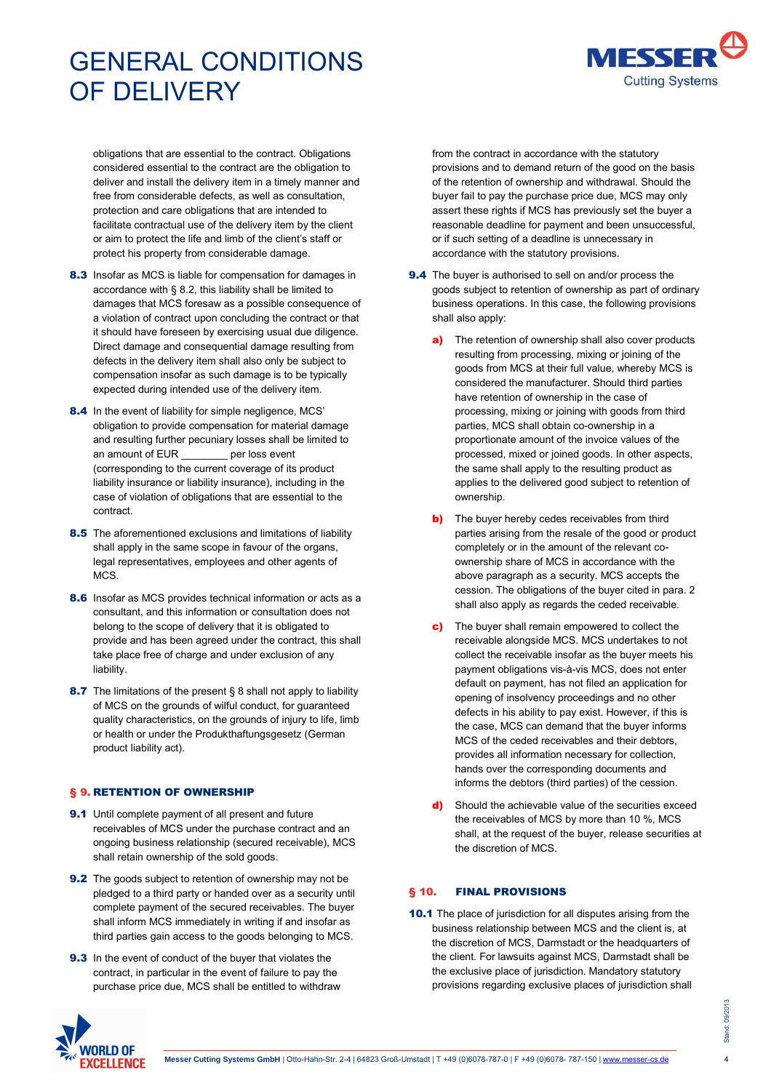MESSE **Cutting Systems** 

obligations that are essential to the contract. Obligations considered essential to the contract are the obligation to deliver and install the delivery item in a timely manner and free from considerable defects, as well as consultation, protection and care obligations that are intended to facilitate contractual use of the delivery item by the client or aim to protect the life and limb of the client's staff or protect his property from considerable damage.

- 8.3 Insofar as MCS is liable for compensation for damages in accordance with § 8.2, this liability shall be limited to damages that MCS foresaw as a possible consequence of a violation of contract upon concluding the contract or that it should have foreseen by exercising usual due diligence. Direct damage and consequential damage resulting from defects in the delivery item shall also only be subject to compensation insofar as such damage is to be typically expected during intended use of the delivery item.
- 8.4 In the event of liability for simple negligence, MCS' obligation to provide compensation for material damage and resulting further pecuniary losses shall be limited to an amount of EUR \_\_\_\_\_\_\_\_ per loss event (corresponding to the current coverage of its product liability insurance or liability insurance), including in the case of violation of obligations that are essential to the contract.
- 8.5 The aforementioned exclusions and limitations of liability shall apply in the same scope in favour of the organs, legal representatives, employees and other agents of MCS.
- 8.6 Insofar as MCS provides technical information or acts as a consultant, and this information or consultation does not belong to the scope of delivery that it is obligated to provide and has been agreed under the contract, this shall take place free of charge and under exclusion of any liability.
- 8.7 The limitations of the present § 8 shall not apply to liability of MCS on the grounds of wilful conduct, for guaranteed quality characteristics, on the grounds of injury to life, limb or health or under the Produkthaftungsgesetz (German product liability act).

## § 9. RETENTION OF OWNERSHIP

- 9.1 Until complete payment of all present and future receivables of MCS under the purchase contract and an ongoing business relationship (secured receivable), MCS shall retain ownership of the sold goods.
- **9.2** The goods subject to retention of ownership may not be pledged to a third party or handed over as a security until complete payment of the secured receivables. The buyer shall inform MCS immediately in writing if and insofar as third parties gain access to the goods belonging to MCS.
- **9.3** In the event of conduct of the buyer that violates the contract, in particular in the event of failure to pay the purchase price due, MCS shall be entitled to withdraw

from the contract in accordance with the statutory provisions and to demand return of the good on the basis of the retention of ownership and withdrawal. Should the buyer fail to pay the purchase price due, MCS may only assert these rights if MCS has previously set the buyer a reasonable deadline for payment and been unsuccessful, or if such setting of a deadline is unnecessary in accordance with the statutory provisions.

- 9.4 The buyer is authorised to sell on and/or process the goods subject to retention of ownership as part of ordinary business operations. In this case, the following provisions shall also apply:
	- a) The retention of ownership shall also cover products resulting from processing, mixing or joining of the goods from MCS at their full value, whereby MCS is considered the manufacturer. Should third parties have retention of ownership in the case of processing, mixing or joining with goods from third parties, MCS shall obtain co-ownership in a proportionate amount of the invoice values of the processed, mixed or joined goods. In other aspects, the same shall apply to the resulting product as applies to the delivered good subject to retention of ownership.
	- **b)** The buyer hereby cedes receivables from third parties arising from the resale of the good or product completely or in the amount of the relevant coownership share of MCS in accordance with the above paragraph as a security. MCS accepts the cession. The obligations of the buyer cited in para. 2 shall also apply as regards the ceded receivable.
	- c) The buyer shall remain empowered to collect the receivable alongside MCS. MCS undertakes to not collect the receivable insofar as the buyer meets his payment obligations vis-à-vis MCS, does not enter default on payment, has not filed an application for opening of insolvency proceedings and no other defects in his ability to pay exist. However, if this is the case, MCS can demand that the buyer informs MCS of the ceded receivables and their debtors, provides all information necessary for collection, hands over the corresponding documents and informs the debtors (third parties) of the cession.
	- d) Should the achievable value of the securities exceed the receivables of MCS by more than 10 %, MCS shall, at the request of the buyer, release securities at the discretion of MCS.

## § 10. FINAL PROVISIONS

10.1 The place of jurisdiction for all disputes arising from the business relationship between MCS and the client is, at the discretion of MCS, Darmstadt or the headquarters of the client. For lawsuits against MCS, Darmstadt shall be the exclusive place of jurisdiction. Mandatory statutory provisions regarding exclusive places of jurisdiction shall